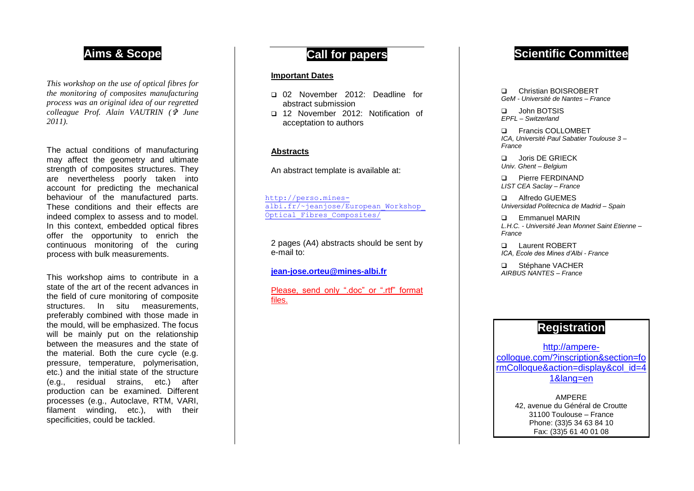## **Aims & Scope**

*This workshop on the use of optical fibres for the monitoring of composites manufacturing process was an original idea of our regretted colleague Prof. Alain VAUTRIN ( June 2011).*

The actual conditions of manufacturing may affect the geometry and ultimate strength of composites structures. They are nevertheless poorly taken into account for predicting the mechanical behaviour of the manufactured parts. These conditions and their effects are indeed complex to assess and to model. In this context, embedded optical fibres offer the opportunity to enrich the continuous monitoring of the curing process with bulk measurements.

This workshop aims to contribute in a state of the art of the recent advances in the field of cure monitoring of composite structures. In situ measurements, preferably combined with those made in the mould, will be emphasized. The focus will be mainly put on the relationship between the measures and the state of the material. Both the cure cycle (e.g. pressure, temperature, polymerisation, etc.) and the initial state of the structure (e.g., residual strains, etc.) after production can be examined. Different processes (e.g., Autoclave, RTM, VARI, filament winding, etc.), with their specificities, could be tackled.

## **Call for papers**

#### **Important Dates**

- 02 November 2012: Deadline for abstract submission
- □ 12 November 2012: Notification of acceptation to authors

#### **Abstracts**

An abstract template is available at:

[http://perso.mines](http://perso.mines-albi.fr/~jeanjose/European_Workshop_Optical_Fibres_Composites/) albi.fr/~jeanjose/European Workshop [Optical\\_Fibres\\_Composites/](http://perso.mines-albi.fr/~jeanjose/European_Workshop_Optical_Fibres_Composites/)

2 pages (A4) abstracts should be sent by e-mail to:

**jean [-jose.orteu@mines](mailto:jean-jose.orteu@mines-albi.fr) -albi.fr**

Please, send only ".doc" or ".rtf" format files.

### **Scientific Committee**

 Christian BOISROBERT *GeM - Université de Nantes – France*

 John BOTSIS *EPFL – Switzerland* 

 Francis COLLOMBET *ICA, Université Paul Sabatier Toulouse 3 – France*

**D** Joris DE GRIECK *Univ. Ghent – Belgium* 

 Pierre FERDINAND *LIST CEA Saclay – France*

 Alfredo GUEMES *Universidad Politecnica de Madrid – Spain*

 Emmanuel MARIN *L.H.C. - Université Jean Monnet Saint Etienne – France*

 Laurent ROBERT *ICA, Ecole des Mines d'Albi - France*

□ Stéphane VACHER *AIRBUS NANTES – France*

## **Registration**

[http://ampere](http://ampere-colloque.com/?inscription§ion=formColloque&action=display&col_id=41&lang=en)[colloque.com/?inscription&section=fo](http://ampere-colloque.com/?inscription§ion=formColloque&action=display&col_id=41&lang=en) [rmColloque&action=display&col\\_id=4](http://ampere-colloque.com/?inscription§ion=formColloque&action=display&col_id=41&lang=en) [1&lang=en](http://ampere-colloque.com/?inscription§ion=formColloque&action=display&col_id=41&lang=en)

AMPERE 42, avenue du Général de Croutte 31100 Toulouse – France Phone: (33)5 34 63 84 10 Fax: (33)5 61 40 01 08